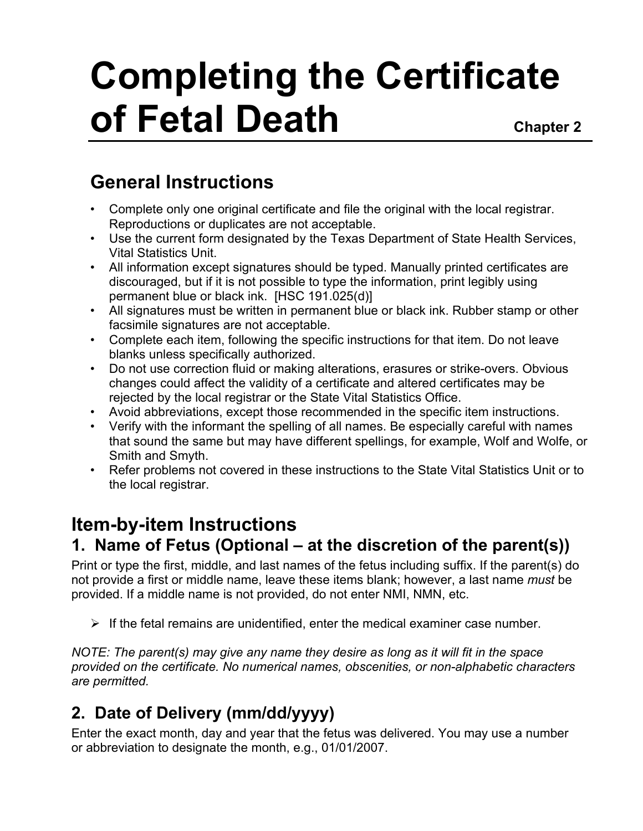# **Completing the Certificate of Fetal Death** Chapter 2

# **General Instructions**

- Complete only one original certificate and file the original with the local registrar. Reproductions or duplicates are not acceptable.
- Use the current form designated by the Texas Department of State Health Services, Vital Statistics Unit.
- All information except signatures should be typed. Manually printed certificates are discouraged, but if it is not possible to type the information, print legibly using permanent blue or black ink. [HSC 191.025(d)]
- All signatures must be written in permanent blue or black ink. Rubber stamp or other facsimile signatures are not acceptable.
- Complete each item, following the specific instructions for that item. Do not leave blanks unless specifically authorized.
- Do not use correction fluid or making alterations, erasures or strike-overs. Obvious changes could affect the validity of a certificate and altered certificates may be rejected by the local registrar or the State Vital Statistics Office.
- Avoid abbreviations, except those recommended in the specific item instructions.
- Verify with the informant the spelling of all names. Be especially careful with names that sound the same but may have different spellings, for example, Wolf and Wolfe, or Smith and Smyth.
- Refer problems not covered in these instructions to the State Vital Statistics Unit or to the local registrar.

### **Item-by-item Instructions 1. Name of Fetus (Optional – at the discretion of the parent(s))**

Print or type the first, middle, and last names of the fetus including suffix. If the parent(s) do not provide a first or middle name, leave these items blank; however, a last name *must* be provided. If a middle name is not provided, do not enter NMI, NMN, etc.

 $\triangleright$  If the fetal remains are unidentified, enter the medical examiner case number.

*NOTE: The parent(s) may give any name they desire as long as it will fit in the space provided on the certificate. No numerical names, obscenities, or non-alphabetic characters are permitted.* 

# **2. Date of Delivery (mm/dd/yyyy)**

Enter the exact month, day and year that the fetus was delivered. You may use a number or abbreviation to designate the month, e.g., 01/01/2007.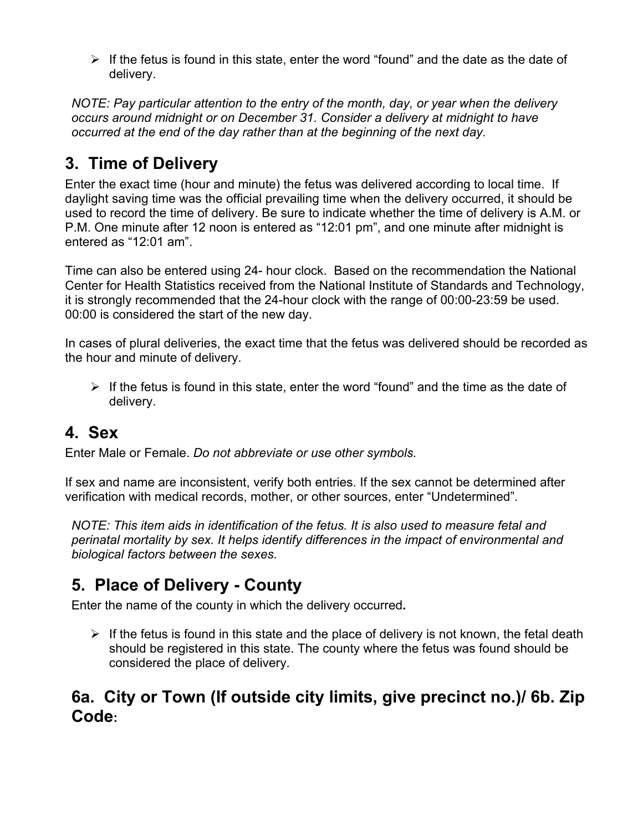$\triangleright$  If the fetus is found in this state, enter the word "found" and the date as the date of delivery.

*NOTE: Pay particular attention to the entry of the month, day, or year when the delivery occurs around midnight or on December 31. Consider a delivery at midnight to have occurred at the end of the day rather than at the beginning of the next day.* 

# **3. Time of Delivery**

Enter the exact time (hour and minute) the fetus was delivered according to local time. If daylight saving time was the official prevailing time when the delivery occurred, it should be used to record the time of delivery. Be sure to indicate whether the time of delivery is A.M. or P.M. One minute after 12 noon is entered as "12:01 pm", and one minute after midnight is entered as "12:01 am".

Time can also be entered using 24- hour clock. Based on the recommendation the National Center for Health Statistics received from the National Institute of Standards and Technology, it is strongly recommended that the 24-hour clock with the range of 00:00-23:59 be used. 00:00 is considered the start of the new day.

 In cases of plural deliveries, the exact time that the fetus was delivered should be recorded as the hour and minute of delivery.

 $\triangleright$  If the fetus is found in this state, enter the word "found" and the time as the date of delivery.

### **4. Sex**

Enter Male or Female. *Do not abbreviate or use other symbols*.

If sex and name are inconsistent, verify both entries. If the sex cannot be determined after verification with medical records, mother, or other sources, enter "Undetermined".

*NOTE: This item aids in identification of the fetus. It is also used to measure fetal and perinatal mortality by sex. It helps identify differences in the impact of environmental and biological factors between the sexes.*

# **5. Place of Delivery - County**

Enter the name of the county in which the delivery occurred**.** 

 $\triangleright$  If the fetus is found in this state and the place of delivery is not known, the fetal death should be registered in this state. The county where the fetus was found should be considered the place of delivery.

### **6a. City or Town (If outside city limits, give precinct no.)/ 6b. Zip Code:**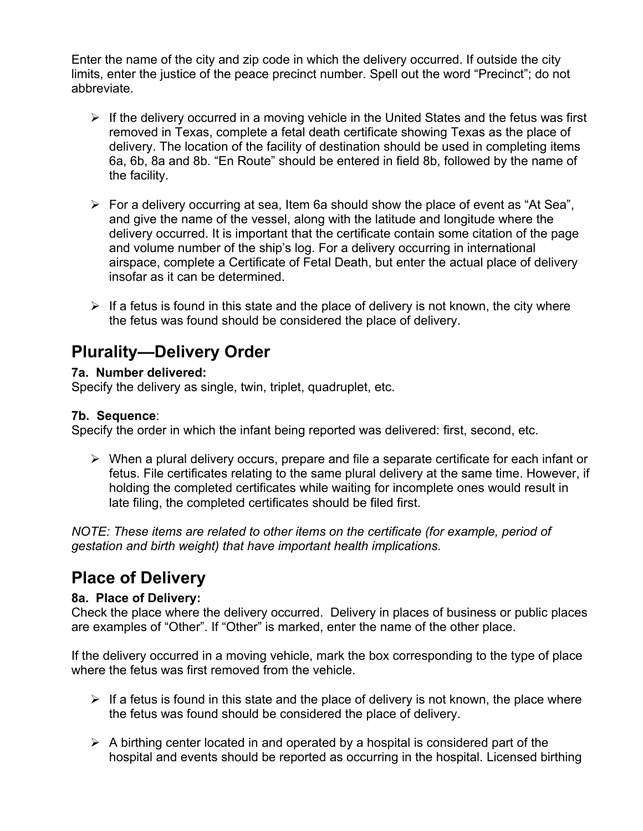Enter the name of the city and zip code in which the delivery occurred. If outside the city limits, enter the justice of the peace precinct number. Spell out the word "Precinct"; do not abbreviate.

- $\triangleright$  If the delivery occurred in a moving vehicle in the United States and the fetus was first removed in Texas, complete a fetal death certificate showing Texas as the place of delivery. The location of the facility of destination should be used in completing items 6a, 6b, 8a and 8b. "En Route" should be entered in field 8b, followed by the name of the facility.
- $\triangleright$  For a delivery occurring at sea, Item 6a should show the place of event as "At Sea", and give the name of the vessel, along with the latitude and longitude where the delivery occurred. It is important that the certificate contain some citation of the page and volume number of the ship's log. For a delivery occurring in international airspace, complete a Certificate of Fetal Death, but enter the actual place of delivery insofar as it can be determined.
- $\triangleright$  If a fetus is found in this state and the place of delivery is not known, the city where the fetus was found should be considered the place of delivery.

### **Plurality—Delivery Order**

#### **7a. Number delivered:**

Specify the delivery as single, twin, triplet, quadruplet, etc.

#### **7b. Sequence**:

Specify the order in which the infant being reported was delivered: first, second, etc.

 $\triangleright$  When a plural delivery occurs, prepare and file a separate certificate for each infant or fetus. File certificates relating to the same plural delivery at the same time. However, if holding the completed certificates while waiting for incomplete ones would result in late filing, the completed certificates should be filed first.

*NOTE: These items are related to other items on the certificate (for example, period of gestation and birth weight) that have important health implications.* 

### **Place of Delivery**

#### **8a. Place of Delivery:**

Check the place where the delivery occurred. Delivery in places of business or public places are examples of "Other". If "Other" is marked, enter the name of the other place.

If the delivery occurred in a moving vehicle, mark the box corresponding to the type of place where the fetus was first removed from the vehicle.

- $\triangleright$  If a fetus is found in this state and the place of delivery is not known, the place where the fetus was found should be considered the place of delivery.
- $\triangleright$  A birthing center located in and operated by a hospital is considered part of the hospital and events should be reported as occurring in the hospital. Licensed birthing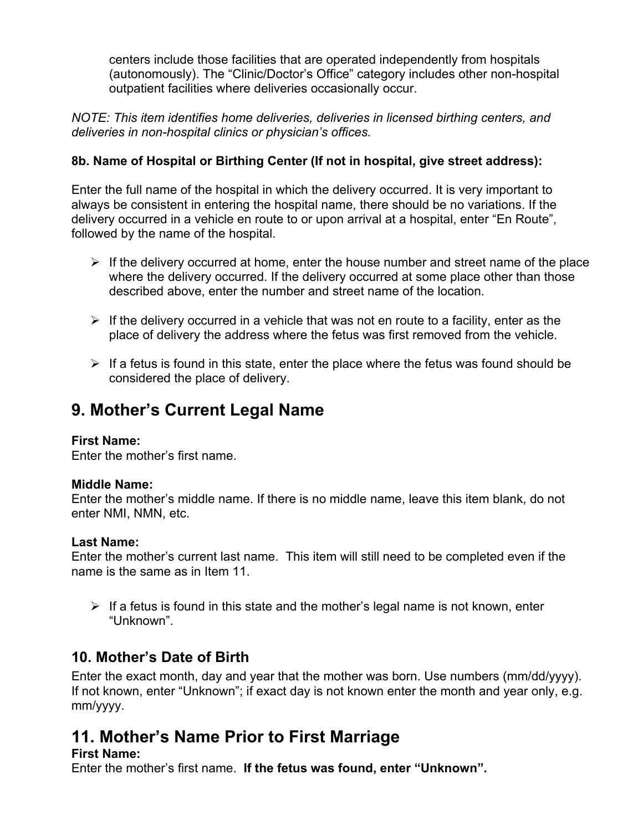centers include those facilities that are operated independently from hospitals (autonomously). The "Clinic/Doctor's Office" category includes other non-hospital outpatient facilities where deliveries occasionally occur.

*NOTE: This item identifies home deliveries, deliveries in licensed birthing centers, and deliveries in non-hospital clinics or physician's offices.* 

#### **8b. Name of Hospital or Birthing Center (If not in hospital, give street address):**

Enter the full name of the hospital in which the delivery occurred. It is very important to always be consistent in entering the hospital name, there should be no variations. If the delivery occurred in a vehicle en route to or upon arrival at a hospital, enter "En Route", followed by the name of the hospital.

- $\triangleright$  If the delivery occurred at home, enter the house number and street name of the place where the delivery occurred. If the delivery occurred at some place other than those described above, enter the number and street name of the location.
- $\triangleright$  If the delivery occurred in a vehicle that was not en route to a facility, enter as the place of delivery the address where the fetus was first removed from the vehicle.
- $\triangleright$  If a fetus is found in this state, enter the place where the fetus was found should be considered the place of delivery.

### **9. Mother's Current Legal Name**

#### **First Name:**

Enter the mother's first name.

#### **Middle Name:**

Enter the mother's middle name. If there is no middle name, leave this item blank, do not enter NMI, NMN, etc.

#### **Last Name:**

Enter the mother's current last name. This item will still need to be completed even if the name is the same as in Item 11.

 $\triangleright$  If a fetus is found in this state and the mother's legal name is not known, enter "Unknown".

### **10. Mother's Date of Birth**

Enter the exact month, day and year that the mother was born. Use numbers (mm/dd/yyyy). If not known, enter "Unknown"; if exact day is not known enter the month and year only, e.g. mm/yyyy.

# **11. Mother's Name Prior to First Marriage**

### **First Name:**

Enter the mother's first name. **If the fetus was found, enter "Unknown".**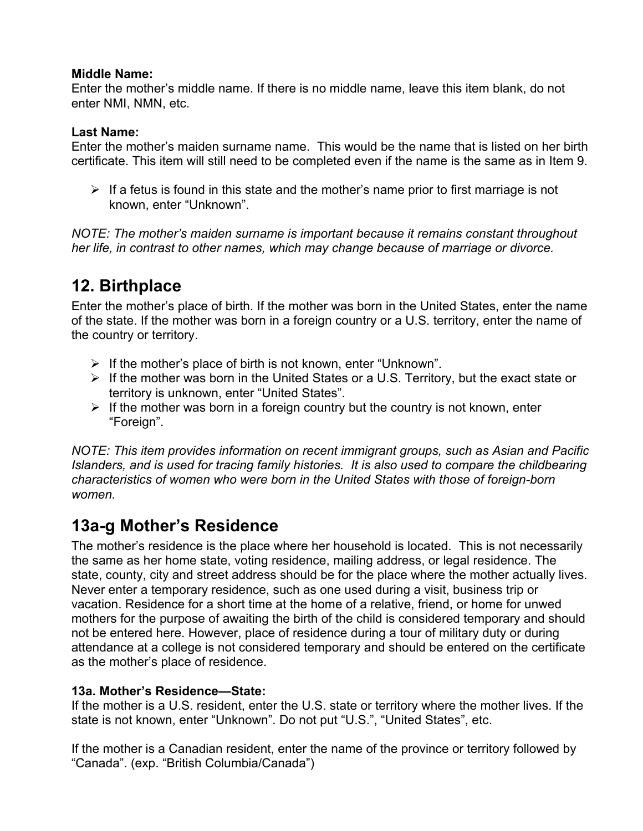#### **Middle Name:**

Enter the mother's middle name. If there is no middle name, leave this item blank, do not enter NMI, NMN, etc.

#### **Last Name:**

Enter the mother's maiden surname name. This would be the name that is listed on her birth certificate. This item will still need to be completed even if the name is the same as in Item 9.

 $\triangleright$  If a fetus is found in this state and the mother's name prior to first marriage is not known, enter "Unknown".

*NOTE: The mother's maiden surname is important because it remains constant throughout her life, in contrast to other names, which may change because of marriage or divorce.* 

### **12. Birthplace**

Enter the mother's place of birth. If the mother was born in the United States, enter the name of the state. If the mother was born in a foreign country or a U.S. territory, enter the name of the country or territory.

- $\triangleright$  If the mother's place of birth is not known, enter "Unknown".
- ¾ If the mother was born in the United States or a U.S. Territory, but the exact state or territory is unknown, enter "United States".
- $\triangleright$  If the mother was born in a foreign country but the country is not known, enter "Foreign".

*NOTE: This item provides information on recent immigrant groups, such as Asian and Pacific Islanders, and is used for tracing family histories. It is also used to compare the childbearing characteristics of women who were born in the United States with those of foreign-born women.* 

# **13a-g Mother's Residence**

The mother's residence is the place where her household is located. This is not necessarily the same as her home state, voting residence, mailing address, or legal residence. The state, county, city and street address should be for the place where the mother actually lives. Never enter a temporary residence, such as one used during a visit, business trip or vacation. Residence for a short time at the home of a relative, friend, or home for unwed mothers for the purpose of awaiting the birth of the child is considered temporary and should not be entered here. However, place of residence during a tour of military duty or during attendance at a college is not considered temporary and should be entered on the certificate as the mother's place of residence.

### **13a. Mother's Residence—State:**

If the mother is a U.S. resident, enter the U.S. state or territory where the mother lives. If the state is not known, enter "Unknown". Do not put "U.S.", "United States", etc.

If the mother is a Canadian resident, enter the name of the province or territory followed by "Canada". (exp. "British Columbia/Canada")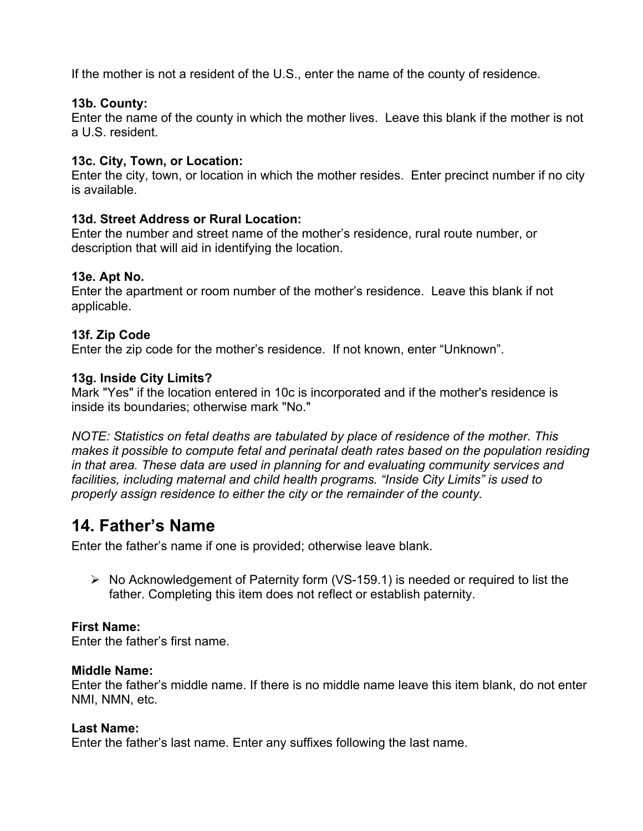If the mother is not a resident of the U.S., enter the name of the county of residence.

#### **13b. County:**

Enter the name of the county in which the mother lives. Leave this blank if the mother is not a U.S. resident.

#### **13c. City, Town, or Location:**

Enter the city, town, or location in which the mother resides. Enter precinct number if no city is available.

#### **13d. Street Address or Rural Location:**

Enter the number and street name of the mother's residence, rural route number, or description that will aid in identifying the location.

#### **13e. Apt No.**

Enter the apartment or room number of the mother's residence. Leave this blank if not applicable.

#### **13f. Zip Code**

Enter the zip code for the mother's residence. If not known, enter "Unknown".

#### **13g. Inside City Limits?**

Mark "Yes" if the location entered in 10c is incorporated and if the mother's residence is inside its boundaries; otherwise mark "No."

*NOTE: Statistics on fetal deaths are tabulated by place of residence of the mother. This makes it possible to compute fetal and perinatal death rates based on the population residing in that area. These data are used in planning for and evaluating community services and facilities, including maternal and child health programs. "Inside City Limits" is used to properly assign residence to either the city or the remainder of the county.* 

### **14. Father's Name**

Enter the father's name if one is provided; otherwise leave blank.

¾ No Acknowledgement of Paternity form (VS-159.1) is needed or required to list the father. Completing this item does not reflect or establish paternity.

#### **First Name:**

Enter the father's first name.

#### **Middle Name:**

Enter the father's middle name. If there is no middle name leave this item blank, do not enter NMI, NMN, etc.

#### **Last Name:**

Enter the father's last name. Enter any suffixes following the last name.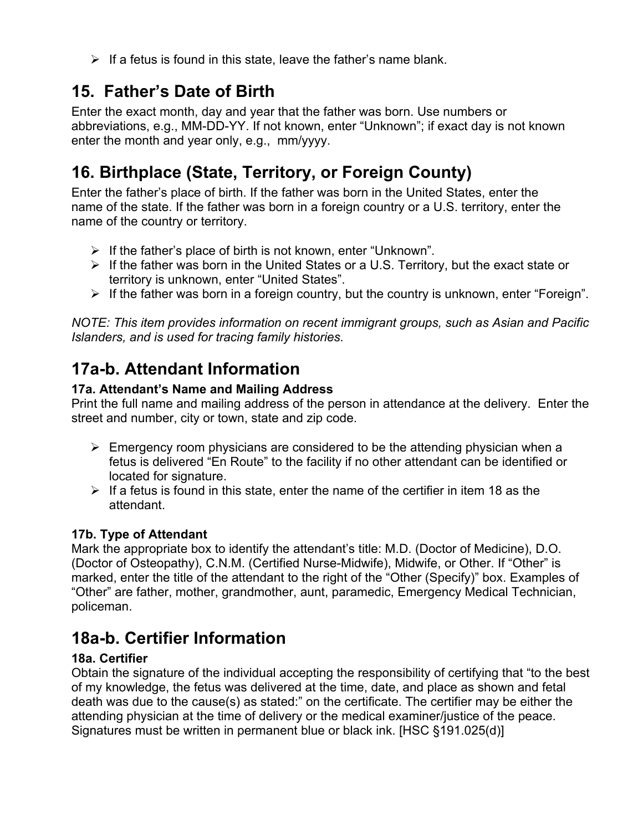$\triangleright$  If a fetus is found in this state, leave the father's name blank.

# **15. Father's Date of Birth**

Enter the exact month, day and year that the father was born. Use numbers or abbreviations, e.g., MM-DD-YY. If not known, enter "Unknown"; if exact day is not known enter the month and year only, e.g., mm/yyyy.

# **16. Birthplace (State, Territory, or Foreign County)**

Enter the father's place of birth. If the father was born in the United States, enter the name of the state. If the father was born in a foreign country or a U.S. territory, enter the name of the country or territory.

- $\triangleright$  If the father's place of birth is not known, enter "Unknown".
- $\triangleright$  If the father was born in the United States or a U.S. Territory, but the exact state or territory is unknown, enter "United States".
- $\triangleright$  If the father was born in a foreign country, but the country is unknown, enter "Foreign".

*NOTE: This item provides information on recent immigrant groups, such as Asian and Pacific Islanders, and is used for tracing family histories.* 

# **17a-b. Attendant Information**

### **17a. Attendant's Name and Mailing Address**

Print the full name and mailing address of the person in attendance at the delivery. Enter the street and number, city or town, state and zip code.

- $\triangleright$  Emergency room physicians are considered to be the attending physician when a fetus is delivered "En Route" to the facility if no other attendant can be identified or located for signature.
- $\triangleright$  If a fetus is found in this state, enter the name of the certifier in item 18 as the attendant.

### **17b. Type of Attendant**

Mark the appropriate box to identify the attendant's title: M.D. (Doctor of Medicine), D.O. (Doctor of Osteopathy), C.N.M. (Certified Nurse-Midwife), Midwife, or Other. If "Other" is marked, enter the title of the attendant to the right of the "Other (Specify)" box. Examples of "Other" are father, mother, grandmother, aunt, paramedic, Emergency Medical Technician, policeman.

# **18a-b. Certifier Information**

### **18a. Certifier**

Obtain the signature of the individual accepting the responsibility of certifying that "to the best of my knowledge, the fetus was delivered at the time, date, and place as shown and fetal death was due to the cause(s) as stated:" on the certificate. The certifier may be either the attending physician at the time of delivery or the medical examiner/justice of the peace. Signatures must be written in permanent blue or black ink. [HSC §191.025(d)]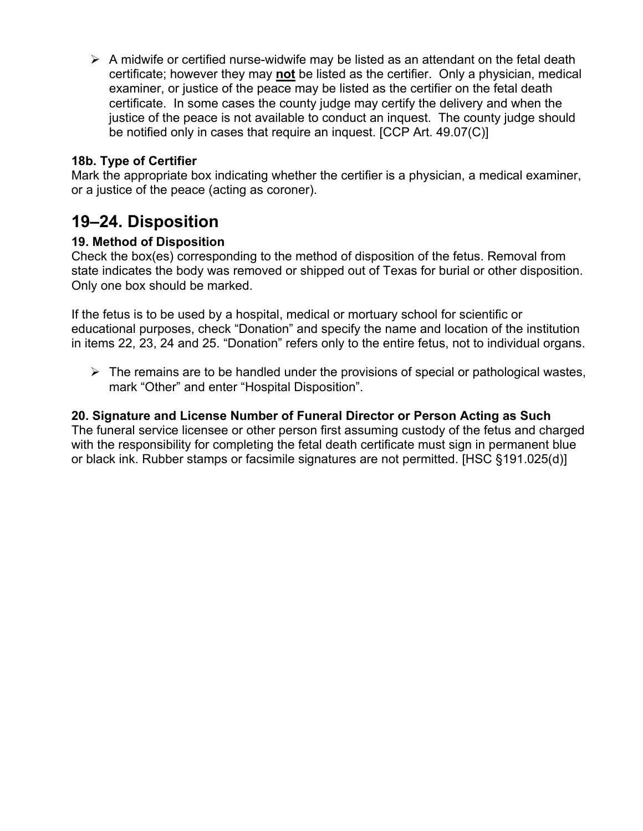$\triangleright$  A midwife or certified nurse-widwife may be listed as an attendant on the fetal death certificate; however they may **not** be listed as the certifier. Only a physician, medical examiner, or justice of the peace may be listed as the certifier on the fetal death certificate. In some cases the county judge may certify the delivery and when the justice of the peace is not available to conduct an inquest. The county judge should be notified only in cases that require an inquest. [CCP Art. 49.07(C)]

#### **18b. Type of Certifier**

Mark the appropriate box indicating whether the certifier is a physician, a medical examiner, or a justice of the peace (acting as coroner).

### **19–24. Disposition**

#### **19. Method of Disposition**

Check the box(es) corresponding to the method of disposition of the fetus. Removal from state indicates the body was removed or shipped out of Texas for burial or other disposition. Only one box should be marked.

If the fetus is to be used by a hospital, medical or mortuary school for scientific or educational purposes, check "Donation" and specify the name and location of the institution in items 22, 23, 24 and 25. "Donation" refers only to the entire fetus, not to individual organs.

 $\triangleright$  The remains are to be handled under the provisions of special or pathological wastes, mark "Other" and enter "Hospital Disposition".

#### **20. Signature and License Number of Funeral Director or Person Acting as Such**

The funeral service licensee or other person first assuming custody of the fetus and charged with the responsibility for completing the fetal death certificate must sign in permanent blue or black ink. Rubber stamps or facsimile signatures are not permitted. [HSC §191.025(d)]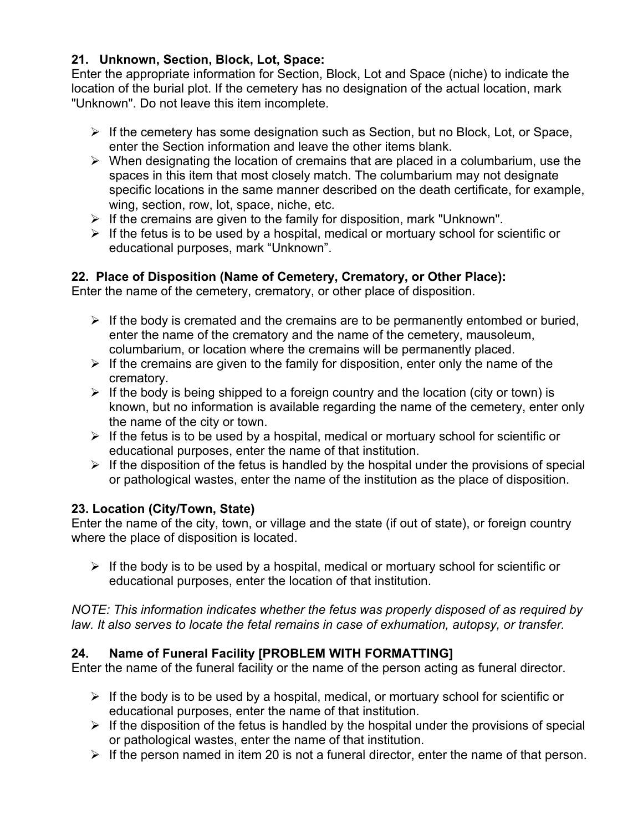#### **21. Unknown, Section, Block, Lot, Space:**

Enter the appropriate information for Section, Block, Lot and Space (niche) to indicate the location of the burial plot. If the cemetery has no designation of the actual location, mark "Unknown". Do not leave this item incomplete.

- $\triangleright$  If the cemetery has some designation such as Section, but no Block, Lot, or Space, enter the Section information and leave the other items blank.
- $\triangleright$  When designating the location of cremains that are placed in a columbarium, use the spaces in this item that most closely match. The columbarium may not designate specific locations in the same manner described on the death certificate, for example, wing, section, row, lot, space, niche, etc.
- $\triangleright$  If the cremains are given to the family for disposition, mark "Unknown".
- $\triangleright$  If the fetus is to be used by a hospital, medical or mortuary school for scientific or educational purposes, mark "Unknown".

#### **22. Place of Disposition (Name of Cemetery, Crematory, or Other Place):**

Enter the name of the cemetery, crematory, or other place of disposition.

- $\triangleright$  If the body is cremated and the cremains are to be permanently entombed or buried, enter the name of the crematory and the name of the cemetery, mausoleum, columbarium, or location where the cremains will be permanently placed.
- $\triangleright$  If the cremains are given to the family for disposition, enter only the name of the crematory.
- $\triangleright$  If the body is being shipped to a foreign country and the location (city or town) is known, but no information is available regarding the name of the cemetery, enter only the name of the city or town.
- $\triangleright$  If the fetus is to be used by a hospital, medical or mortuary school for scientific or educational purposes, enter the name of that institution.
- $\triangleright$  If the disposition of the fetus is handled by the hospital under the provisions of special or pathological wastes, enter the name of the institution as the place of disposition.

### **23. Location (City/Town, State)**

Enter the name of the city, town, or village and the state (if out of state), or foreign country where the place of disposition is located.

 $\triangleright$  If the body is to be used by a hospital, medical or mortuary school for scientific or educational purposes, enter the location of that institution.

*NOTE: This information indicates whether the fetus was properly disposed of as required by law. It also serves to locate the fetal remains in case of exhumation, autopsy, or transfer.* 

### **24. Name of Funeral Facility [PROBLEM WITH FORMATTING]**

Enter the name of the funeral facility or the name of the person acting as funeral director.

- $\triangleright$  If the body is to be used by a hospital, medical, or mortuary school for scientific or educational purposes, enter the name of that institution.
- $\triangleright$  If the disposition of the fetus is handled by the hospital under the provisions of special or pathological wastes, enter the name of that institution.
- $\triangleright$  If the person named in item 20 is not a funeral director, enter the name of that person.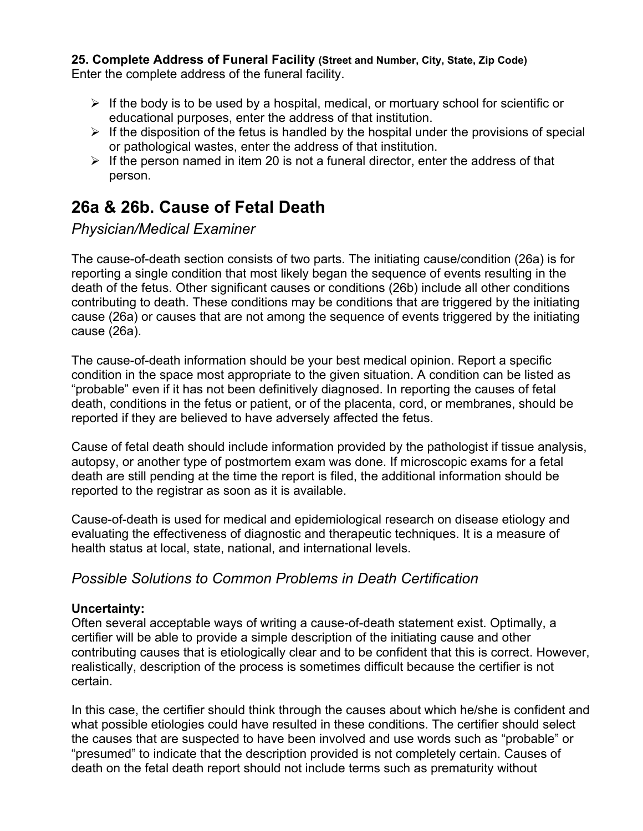**25. Complete Address of Funeral Facility (Street and Number, City, State, Zip Code)**  Enter the complete address of the funeral facility.

- $\triangleright$  If the body is to be used by a hospital, medical, or mortuary school for scientific or educational purposes, enter the address of that institution.
- $\triangleright$  If the disposition of the fetus is handled by the hospital under the provisions of special or pathological wastes, enter the address of that institution.
- $\triangleright$  If the person named in item 20 is not a funeral director, enter the address of that person.

### **26a & 26b. Cause of Fetal Death**

*Physician/Medical Examiner* 

The cause-of-death section consists of two parts. The initiating cause/condition (26a) is for reporting a single condition that most likely began the sequence of events resulting in the death of the fetus. Other significant causes or conditions (26b) include all other conditions contributing to death. These conditions may be conditions that are triggered by the initiating cause (26a) or causes that are not among the sequence of events triggered by the initiating cause (26a).

The cause-of-death information should be your best medical opinion. Report a specific condition in the space most appropriate to the given situation. A condition can be listed as "probable" even if it has not been definitively diagnosed. In reporting the causes of fetal death, conditions in the fetus or patient, or of the placenta, cord, or membranes, should be reported if they are believed to have adversely affected the fetus.

Cause of fetal death should include information provided by the pathologist if tissue analysis, autopsy, or another type of postmortem exam was done. If microscopic exams for a fetal death are still pending at the time the report is filed, the additional information should be reported to the registrar as soon as it is available.

Cause-of-death is used for medical and epidemiological research on disease etiology and evaluating the effectiveness of diagnostic and therapeutic techniques. It is a measure of health status at local, state, national, and international levels.

### *Possible Solutions to Common Problems in Death Certification*

#### **Uncertainty:**

Often several acceptable ways of writing a cause-of-death statement exist. Optimally, a certifier will be able to provide a simple description of the initiating cause and other contributing causes that is etiologically clear and to be confident that this is correct. However, realistically, description of the process is sometimes difficult because the certifier is not certain.

In this case, the certifier should think through the causes about which he/she is confident and what possible etiologies could have resulted in these conditions. The certifier should select the causes that are suspected to have been involved and use words such as "probable" or "presumed" to indicate that the description provided is not completely certain. Causes of death on the fetal death report should not include terms such as prematurity without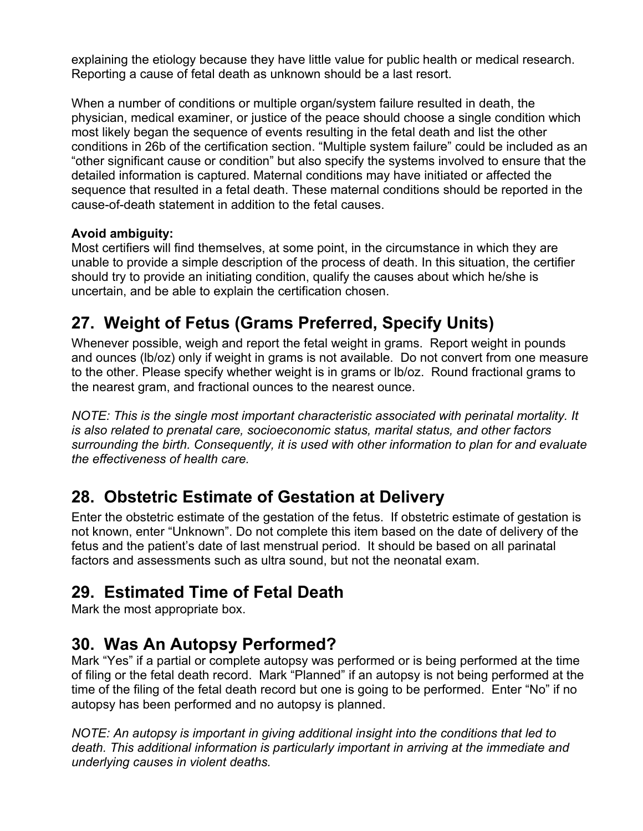explaining the etiology because they have little value for public health or medical research. Reporting a cause of fetal death as unknown should be a last resort.

When a number of conditions or multiple organ/system failure resulted in death, the physician, medical examiner, or justice of the peace should choose a single condition which most likely began the sequence of events resulting in the fetal death and list the other conditions in 26b of the certification section. "Multiple system failure" could be included as an "other significant cause or condition" but also specify the systems involved to ensure that the detailed information is captured. Maternal conditions may have initiated or affected the sequence that resulted in a fetal death. These maternal conditions should be reported in the cause-of-death statement in addition to the fetal causes.

#### **Avoid ambiguity:**

Most certifiers will find themselves, at some point, in the circumstance in which they are unable to provide a simple description of the process of death. In this situation, the certifier should try to provide an initiating condition, qualify the causes about which he/she is uncertain, and be able to explain the certification chosen.

# **27. Weight of Fetus (Grams Preferred, Specify Units)**

Whenever possible, weigh and report the fetal weight in grams. Report weight in pounds and ounces (lb/oz) only if weight in grams is not available. Do not convert from one measure to the other. Please specify whether weight is in grams or lb/oz. Round fractional grams to the nearest gram, and fractional ounces to the nearest ounce.

*NOTE: This is the single most important characteristic associated with perinatal mortality. It is also related to prenatal care, socioeconomic status, marital status, and other factors surrounding the birth. Consequently, it is used with other information to plan for and evaluate the effectiveness of health care.* 

### **28. Obstetric Estimate of Gestation at Delivery**

Enter the obstetric estimate of the gestation of the fetus. If obstetric estimate of gestation is not known, enter "Unknown". Do not complete this item based on the date of delivery of the fetus and the patient's date of last menstrual period. It should be based on all parinatal factors and assessments such as ultra sound, but not the neonatal exam.

### **29. Estimated Time of Fetal Death**

Mark the most appropriate box.

### **30. Was An Autopsy Performed?**

Mark "Yes" if a partial or complete autopsy was performed or is being performed at the time of filing or the fetal death record. Mark "Planned" if an autopsy is not being performed at the time of the filing of the fetal death record but one is going to be performed. Enter "No" if no autopsy has been performed and no autopsy is planned.

*NOTE: An autopsy is important in giving additional insight into the conditions that led to death. This additional information is particularly important in arriving at the immediate and underlying causes in violent deaths.*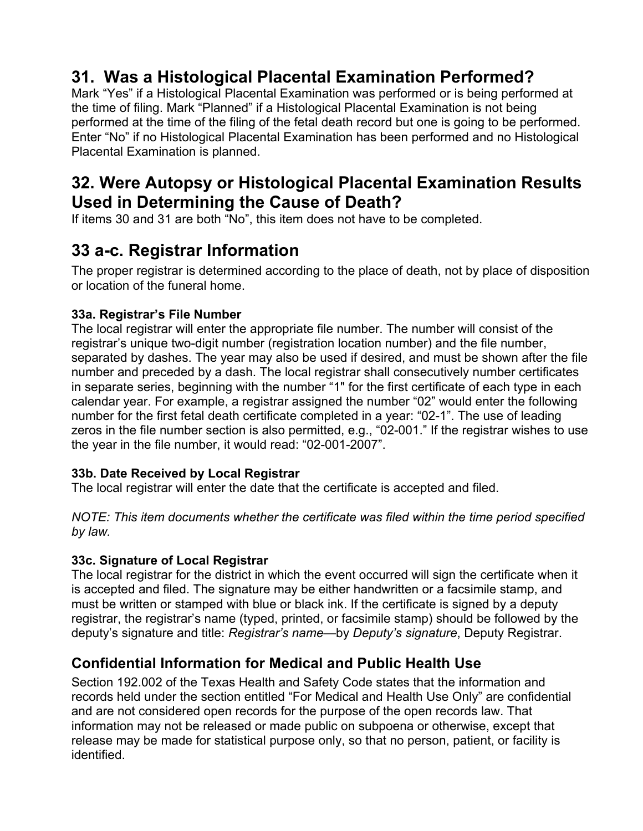# **31. Was a Histological Placental Examination Performed?**

Mark "Yes" if a Histological Placental Examination was performed or is being performed at the time of filing. Mark "Planned" if a Histological Placental Examination is not being performed at the time of the filing of the fetal death record but one is going to be performed. Enter "No" if no Histological Placental Examination has been performed and no Histological Placental Examination is planned.

### **32. Were Autopsy or Histological Placental Examination Results Used in Determining the Cause of Death?**

If items 30 and 31 are both "No", this item does not have to be completed.

### **33 a-c. Registrar Information**

The proper registrar is determined according to the place of death, not by place of disposition or location of the funeral home.

### **33a. Registrar's File Number**

The local registrar will enter the appropriate file number. The number will consist of the registrar's unique two-digit number (registration location number) and the file number, separated by dashes. The year may also be used if desired, and must be shown after the file number and preceded by a dash. The local registrar shall consecutively number certificates in separate series, beginning with the number "1" for the first certificate of each type in each calendar year. For example, a registrar assigned the number "02" would enter the following number for the first fetal death certificate completed in a year: "02-1". The use of leading zeros in the file number section is also permitted, e.g., "02-001." If the registrar wishes to use the year in the file number, it would read: "02-001-2007".

### **33b. Date Received by Local Registrar**

The local registrar will enter the date that the certificate is accepted and filed.

*NOTE: This item documents whether the certificate was filed within the time period specified by law.* 

### **33c. Signature of Local Registrar**

The local registrar for the district in which the event occurred will sign the certificate when it is accepted and filed. The signature may be either handwritten or a facsimile stamp, and must be written or stamped with blue or black ink. If the certificate is signed by a deputy registrar, the registrar's name (typed, printed, or facsimile stamp) should be followed by the deputy's signature and title: *Registrar's name*—by *Deputy's signature*, Deputy Registrar.

### **Confidential Information for Medical and Public Health Use**

Section 192.002 of the Texas Health and Safety Code states that the information and records held under the section entitled "For Medical and Health Use Only" are confidential and are not considered open records for the purpose of the open records law. That information may not be released or made public on subpoena or otherwise, except that release may be made for statistical purpose only, so that no person, patient, or facility is identified.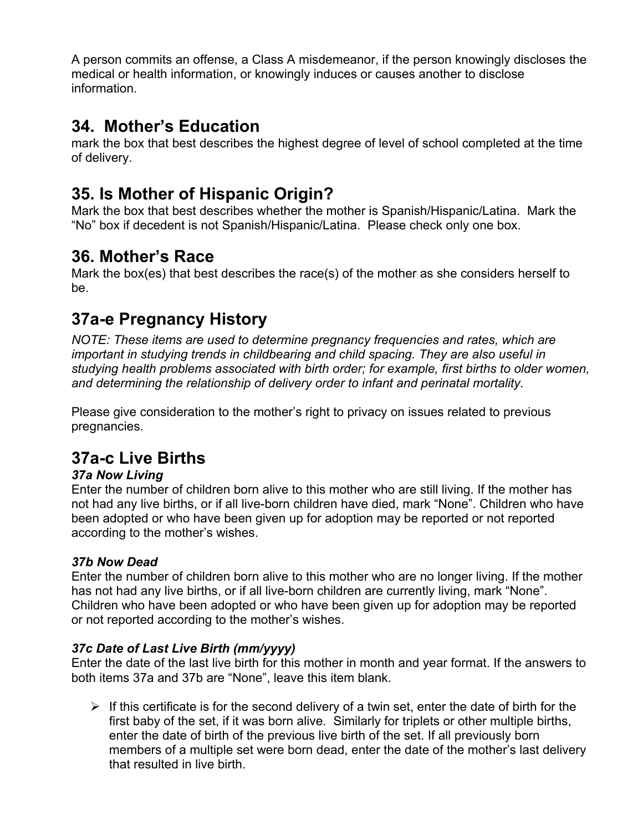A person commits an offense, a Class A misdemeanor, if the person knowingly discloses the medical or health information, or knowingly induces or causes another to disclose information.

### **34. Mother's Education**

mark the box that best describes the highest degree of level of school completed at the time of delivery.

### **35. Is Mother of Hispanic Origin?**

Mark the box that best describes whether the mother is Spanish/Hispanic/Latina. Mark the "No" box if decedent is not Spanish/Hispanic/Latina. Please check only one box.

### **36. Mother's Race**

Mark the box(es) that best describes the race(s) of the mother as she considers herself to be.

# **37a-e Pregnancy History**

*NOTE: These items are used to determine pregnancy frequencies and rates, which are important in studying trends in childbearing and child spacing. They are also useful in studying health problems associated with birth order; for example, first births to older women, and determining the relationship of delivery order to infant and perinatal mortality.* 

Please give consideration to the mother's right to privacy on issues related to previous pregnancies.

# **37a-c Live Births**

### *37a Now Living*

Enter the number of children born alive to this mother who are still living. If the mother has not had any live births, or if all live-born children have died, mark "None". Children who have been adopted or who have been given up for adoption may be reported or not reported according to the mother's wishes.

### *37b Now Dead*

Enter the number of children born alive to this mother who are no longer living. If the mother has not had any live births, or if all live-born children are currently living, mark "None". Children who have been adopted or who have been given up for adoption may be reported or not reported according to the mother's wishes.

### *37c Date of Last Live Birth (mm/yyyy)*

Enter the date of the last live birth for this mother in month and year format. If the answers to both items 37a and 37b are "None", leave this item blank.

 $\triangleright$  If this certificate is for the second delivery of a twin set, enter the date of birth for the first baby of the set, if it was born alive. Similarly for triplets or other multiple births, enter the date of birth of the previous live birth of the set. If all previously born members of a multiple set were born dead, enter the date of the mother's last delivery that resulted in live birth.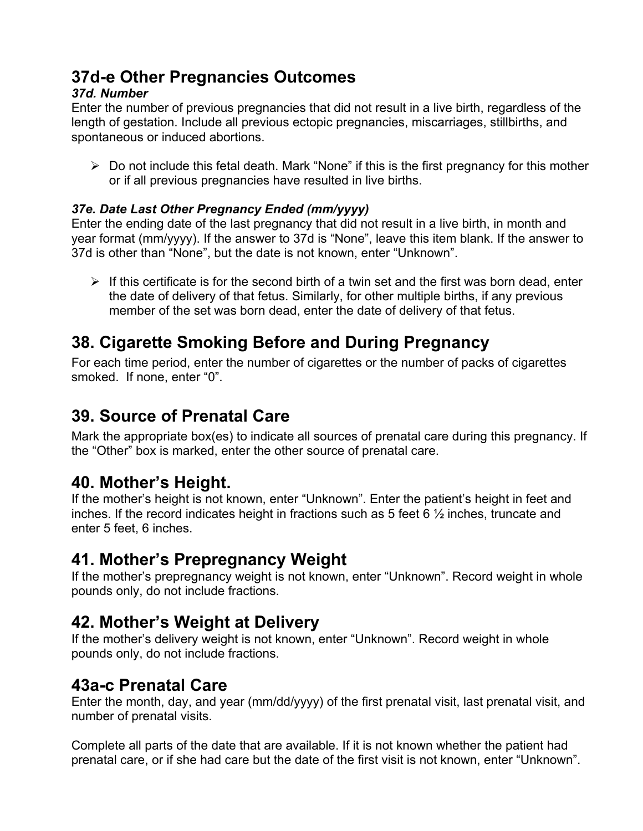# **37d-e Other Pregnancies Outcomes**

### *37d. Number*

Enter the number of previous pregnancies that did not result in a live birth, regardless of the length of gestation. Include all previous ectopic pregnancies, miscarriages, stillbirths, and spontaneous or induced abortions.

 $\triangleright$  Do not include this fetal death. Mark "None" if this is the first pregnancy for this mother or if all previous pregnancies have resulted in live births.

### *37e. Date Last Other Pregnancy Ended (mm/yyyy)*

Enter the ending date of the last pregnancy that did not result in a live birth, in month and year format (mm/yyyy). If the answer to 37d is "None", leave this item blank. If the answer to 37d is other than "None", but the date is not known, enter "Unknown".

 $\triangleright$  If this certificate is for the second birth of a twin set and the first was born dead, enter the date of delivery of that fetus. Similarly, for other multiple births, if any previous member of the set was born dead, enter the date of delivery of that fetus.

# **38. Cigarette Smoking Before and During Pregnancy**

For each time period, enter the number of cigarettes or the number of packs of cigarettes smoked. If none, enter "0".

### **39. Source of Prenatal Care**

Mark the appropriate box(es) to indicate all sources of prenatal care during this pregnancy. If the "Other" box is marked, enter the other source of prenatal care.

### **40. Mother's Height.**

If the mother's height is not known, enter "Unknown". Enter the patient's height in feet and inches. If the record indicates height in fractions such as 5 feet 6 ½ inches, truncate and enter 5 feet, 6 inches.

### **41. Mother's Prepregnancy Weight**

If the mother's prepregnancy weight is not known, enter "Unknown". Record weight in whole pounds only, do not include fractions.

### **42. Mother's Weight at Delivery**

If the mother's delivery weight is not known, enter "Unknown". Record weight in whole pounds only, do not include fractions.

### **43a-c Prenatal Care**

Enter the month, day, and year (mm/dd/yyyy) of the first prenatal visit, last prenatal visit, and number of prenatal visits.

Complete all parts of the date that are available. If it is not known whether the patient had prenatal care, or if she had care but the date of the first visit is not known, enter "Unknown".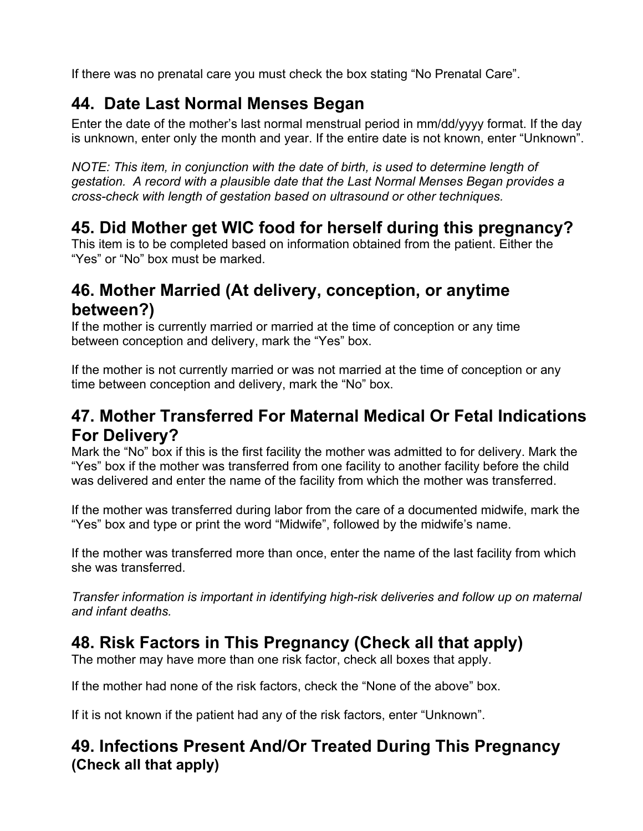If there was no prenatal care you must check the box stating "No Prenatal Care".

# **44. Date Last Normal Menses Began**

Enter the date of the mother's last normal menstrual period in mm/dd/yyyy format. If the day is unknown, enter only the month and year. If the entire date is not known, enter "Unknown".

*NOTE: This item, in conjunction with the date of birth, is used to determine length of gestation. A record with a plausible date that the Last Normal Menses Began provides a cross-check with length of gestation based on ultrasound or other techniques.* 

# **45. Did Mother get WIC food for herself during this pregnancy?**

This item is to be completed based on information obtained from the patient. Either the "Yes" or "No" box must be marked.

# **46. Mother Married (At delivery, conception, or anytime between?)**

If the mother is currently married or married at the time of conception or any time between conception and delivery, mark the "Yes" box.

If the mother is not currently married or was not married at the time of conception or any time between conception and delivery, mark the "No" box.

### **47. Mother Transferred For Maternal Medical Or Fetal Indications For Delivery?**

Mark the "No" box if this is the first facility the mother was admitted to for delivery. Mark the "Yes" box if the mother was transferred from one facility to another facility before the child was delivered and enter the name of the facility from which the mother was transferred.

If the mother was transferred during labor from the care of a documented midwife, mark the "Yes" box and type or print the word "Midwife", followed by the midwife's name.

If the mother was transferred more than once, enter the name of the last facility from which she was transferred.

*Transfer information is important in identifying high-risk deliveries and follow up on maternal and infant deaths.* 

# **48. Risk Factors in This Pregnancy (Check all that apply)**

The mother may have more than one risk factor, check all boxes that apply.

If the mother had none of the risk factors, check the "None of the above" box.

If it is not known if the patient had any of the risk factors, enter "Unknown".

### **49. Infections Present And/Or Treated During This Pregnancy (Check all that apply)**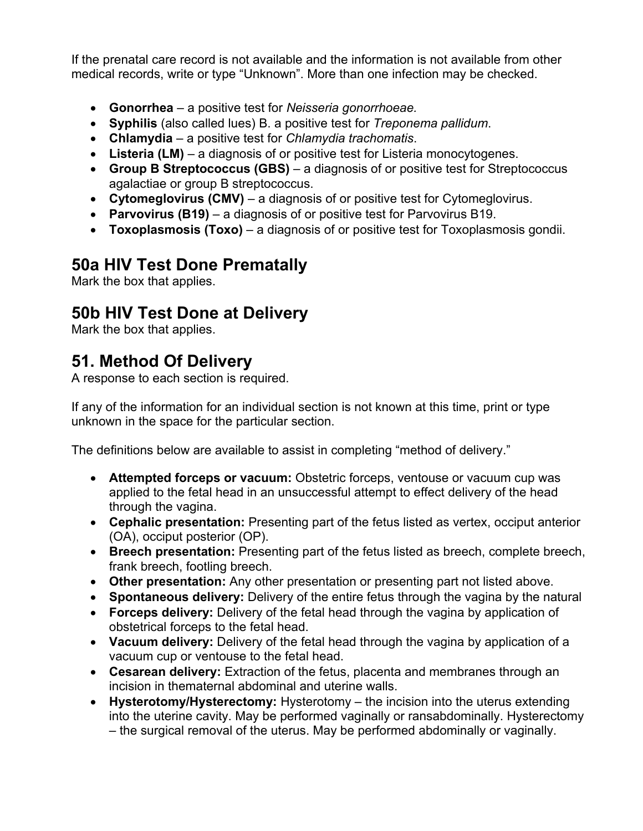If the prenatal care record is not available and the information is not available from other medical records, write or type "Unknown". More than one infection may be checked.

- **Gonorrhea**  a positive test for *Neisseria gonorrhoeae.*
- **Syphilis** (also called lues) B. a positive test for *Treponema pallidum*.
- **Chlamydia**  a positive test for *Chlamydia trachomatis*.
- Listeria (LM) a diagnosis of or positive test for Listeria monocytogenes.
- **Group B Streptococcus (GBS)**  a diagnosis of or positive test for Streptococcus agalactiae or group B streptococcus.
- **Cytomeglovirus (CMV)**  a diagnosis of or positive test for Cytomeglovirus.
- **Parvovirus (B19)**  a diagnosis of or positive test for Parvovirus B19.
- **Toxoplasmosis (Toxo)**  a diagnosis of or positive test for Toxoplasmosis gondii.

### **50a HIV Test Done Prematally**

Mark the box that applies.

### **50b HIV Test Done at Delivery**

Mark the box that applies.

# **51. Method Of Delivery**

A response to each section is required.

If any of the information for an individual section is not known at this time, print or type unknown in the space for the particular section.

The definitions below are available to assist in completing "method of delivery."

- **Attempted forceps or vacuum:** Obstetric forceps, ventouse or vacuum cup was applied to the fetal head in an unsuccessful attempt to effect delivery of the head through the vagina.
- **Cephalic presentation:** Presenting part of the fetus listed as vertex, occiput anterior (OA), occiput posterior (OP).
- **Breech presentation:** Presenting part of the fetus listed as breech, complete breech, frank breech, footling breech.
- **Other presentation:** Any other presentation or presenting part not listed above.
- **Spontaneous delivery:** Delivery of the entire fetus through the vagina by the natural
- **Forceps delivery:** Delivery of the fetal head through the vagina by application of obstetrical forceps to the fetal head.
- **Vacuum delivery:** Delivery of the fetal head through the vagina by application of a vacuum cup or ventouse to the fetal head.
- **Cesarean delivery:** Extraction of the fetus, placenta and membranes through an incision in thematernal abdominal and uterine walls.
- **Hysterotomy/Hysterectomy:** Hysterotomy the incision into the uterus extending into the uterine cavity. May be performed vaginally or ransabdominally. Hysterectomy – the surgical removal of the uterus. May be performed abdominally or vaginally.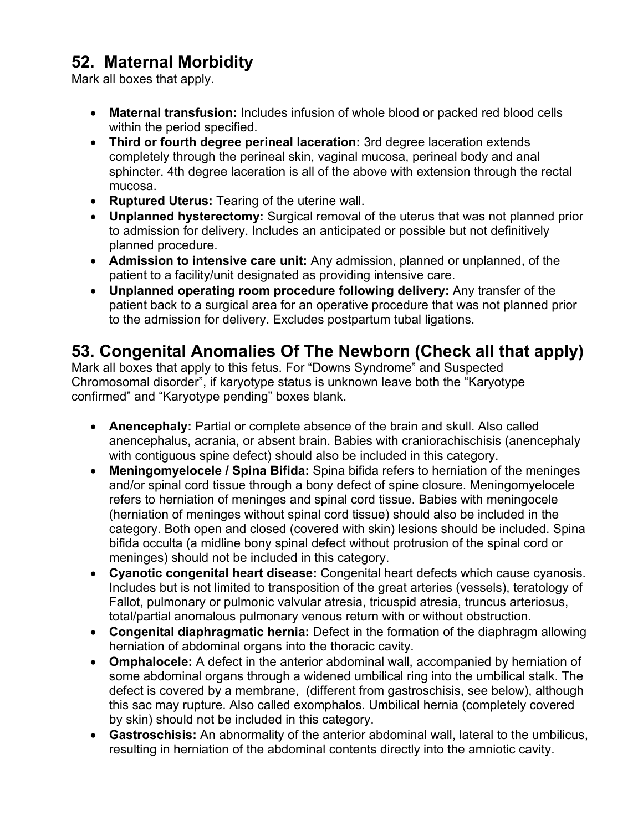### **52. Maternal Morbidity**

Mark all boxes that apply.

- **Maternal transfusion:** Includes infusion of whole blood or packed red blood cells within the period specified.
- **Third or fourth degree perineal laceration:** 3rd degree laceration extends completely through the perineal skin, vaginal mucosa, perineal body and anal sphincter. 4th degree laceration is all of the above with extension through the rectal mucosa.
- **Ruptured Uterus:** Tearing of the uterine wall.
- **Unplanned hysterectomy:** Surgical removal of the uterus that was not planned prior to admission for delivery. Includes an anticipated or possible but not definitively planned procedure.
- **Admission to intensive care unit:** Any admission, planned or unplanned, of the patient to a facility/unit designated as providing intensive care.
- **Unplanned operating room procedure following delivery:** Any transfer of the patient back to a surgical area for an operative procedure that was not planned prior to the admission for delivery. Excludes postpartum tubal ligations.

### **53. Congenital Anomalies Of The Newborn (Check all that apply)**

Mark all boxes that apply to this fetus. For "Downs Syndrome" and Suspected Chromosomal disorder", if karyotype status is unknown leave both the "Karyotype confirmed" and "Karyotype pending" boxes blank.

- **Anencephaly:** Partial or complete absence of the brain and skull. Also called anencephalus, acrania, or absent brain. Babies with craniorachischisis (anencephaly with contiguous spine defect) should also be included in this category.
- **Meningomyelocele / Spina Bifida:** Spina bifida refers to herniation of the meninges and/or spinal cord tissue through a bony defect of spine closure. Meningomyelocele refers to herniation of meninges and spinal cord tissue. Babies with meningocele (herniation of meninges without spinal cord tissue) should also be included in the category. Both open and closed (covered with skin) lesions should be included. Spina bifida occulta (a midline bony spinal defect without protrusion of the spinal cord or meninges) should not be included in this category.
- **Cyanotic congenital heart disease:** Congenital heart defects which cause cyanosis. Includes but is not limited to transposition of the great arteries (vessels), teratology of Fallot, pulmonary or pulmonic valvular atresia, tricuspid atresia, truncus arteriosus, total/partial anomalous pulmonary venous return with or without obstruction.
- **Congenital diaphragmatic hernia:** Defect in the formation of the diaphragm allowing herniation of abdominal organs into the thoracic cavity.
- **Omphalocele:** A defect in the anterior abdominal wall, accompanied by herniation of some abdominal organs through a widened umbilical ring into the umbilical stalk. The defect is covered by a membrane, (different from gastroschisis, see below), although this sac may rupture. Also called exomphalos. Umbilical hernia (completely covered by skin) should not be included in this category.
- **Gastroschisis:** An abnormality of the anterior abdominal wall, lateral to the umbilicus, resulting in herniation of the abdominal contents directly into the amniotic cavity.